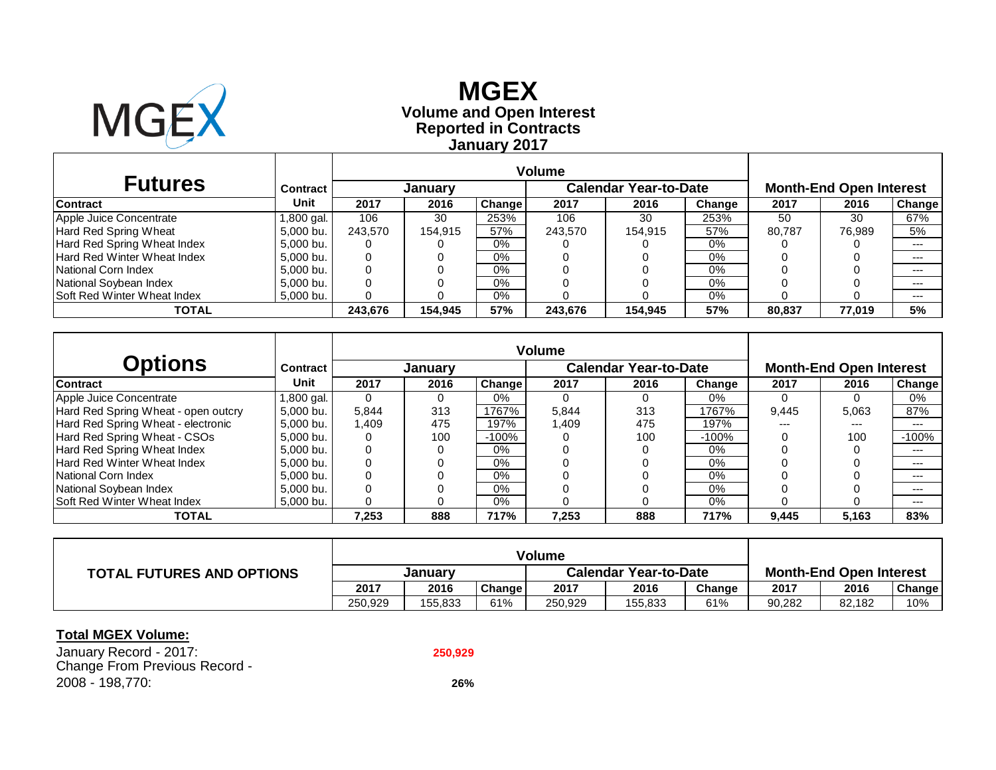

# **Reported in Contracts Volume and Open Interest MGEX January 2017**

| <b>Futures</b>                     | Contract  |         | January |        |         | <b>Calendar Year-to-Date</b> | <b>Month-End Open Interest</b> |        |        |        |
|------------------------------------|-----------|---------|---------|--------|---------|------------------------------|--------------------------------|--------|--------|--------|
| <b>Contract</b>                    | Unit      | 2017    | 2016    | Change | 2017    | 2016                         | Change                         | 2017   | 2016   | Change |
| Apple Juice Concentrate            | .800 gal. | 106     | 30      | 253%   | 106     | 30                           | 253%                           | 50     | 30     | 67%    |
| Hard Red Spring Wheat              | 5,000 bu. | 243.570 | 154.915 | 57%    | 243.570 | 154.915                      | 57%                            | 80.787 | 76.989 | 5%     |
| Hard Red Spring Wheat Index        | 5,000 bu. | U       |         | 0%     |         |                              | 0%                             |        |        | ---    |
| Hard Red Winter Wheat Index        | 5,000 bu. | 0       |         | 0%     |         |                              | 0%                             |        |        | $---$  |
| National Corn Index                | 5,000 bu. | 0       |         | 0%     |         |                              | 0%                             |        |        | $---$  |
| National Soybean Index             | 5.000 bu. |         |         | 0%     |         |                              | $0\%$                          |        |        | $---$  |
| <b>Soft Red Winter Wheat Index</b> | 5,000 bu. |         |         | 0%     |         |                              | $0\%$                          |        |        | $---$  |
| TOTAL                              |           | 243,676 | 154.945 | 57%    | 243,676 | 154.945                      | 57%                            | 80.837 | 77,019 | 5%     |

| <b>Options</b>                      | <b>Contract</b> |          | Januarv |               |       | <b>Calendar Year-to-Date</b> |         | <b>Month-End Open Interest</b> |       |         |  |
|-------------------------------------|-----------------|----------|---------|---------------|-------|------------------------------|---------|--------------------------------|-------|---------|--|
| <b>Contract</b>                     | Unit            | 2017     | 2016    | <b>Change</b> | 2017  | 2016                         | Change  | 2017                           | 2016  | Change  |  |
| Apple Juice Concentrate             | 1,800 gal.      | 0        |         | 0%            |       |                              | 0%      |                                |       | 0%      |  |
| Hard Red Spring Wheat - open outcry | 5.000 bu.       | 5.844    | 313     | 1767%         | 5.844 | 313                          | 1767%   | 9,445                          | 5.063 | 87%     |  |
| Hard Red Spring Wheat - electronic  | 5.000 bu.       | .409     | 475     | 197%          | 1.409 | 475                          | 197%    | ---                            | ---   | $---$   |  |
| Hard Red Spring Wheat - CSOs        | 5.000 bu.       | 0        | 100     | $-100%$       |       | 100                          | $-100%$ |                                | 100   | $-100%$ |  |
| Hard Red Spring Wheat Index         | 5.000 bu.       | 0        |         | $0\%$         |       |                              | 0%      |                                |       | $---$   |  |
| Hard Red Winter Wheat Index         | 5.000 bu.       | $\Omega$ |         | $0\%$         |       |                              | $0\%$   |                                |       | $---$   |  |
| National Corn Index                 | 5.000 bu.       | 0        |         | $0\%$         |       |                              | 0%      |                                |       | $---$   |  |
| National Soybean Index              | 5.000 bu.       | 0        |         | $0\%$         |       |                              | $0\%$   |                                |       | $---$   |  |
| Soft Red Winter Wheat Index         | 5.000 bu.       |          |         | $0\%$         |       |                              | 0%      |                                |       | $---$   |  |
| <b>TOTAL</b>                        |                 | 7,253    | 888     | 717%          | 7,253 | 888                          | 717%    | 9,445                          | 5,163 | 83%     |  |

| <b>TOTAL FUTURES AND OPTIONS</b> | <b>January</b> |         |        | <b>Calendar Year-to-Date</b> |         |        | <b>Month-End Open Interest</b> |        |        |
|----------------------------------|----------------|---------|--------|------------------------------|---------|--------|--------------------------------|--------|--------|
|                                  | 2017           | 2016    | Change | 2017                         | 2016    | Change | 2017                           | 2016   | Change |
|                                  | 250.929        | 155,833 | 61%    | 250,929                      | 155,833 | 61%    | 90,282                         | 82,182 | 10%    |

#### **Total MGEX Volume:**

January Record - 2017: **250,929** Change From Previous Record - 2008 - 198,770: **26%**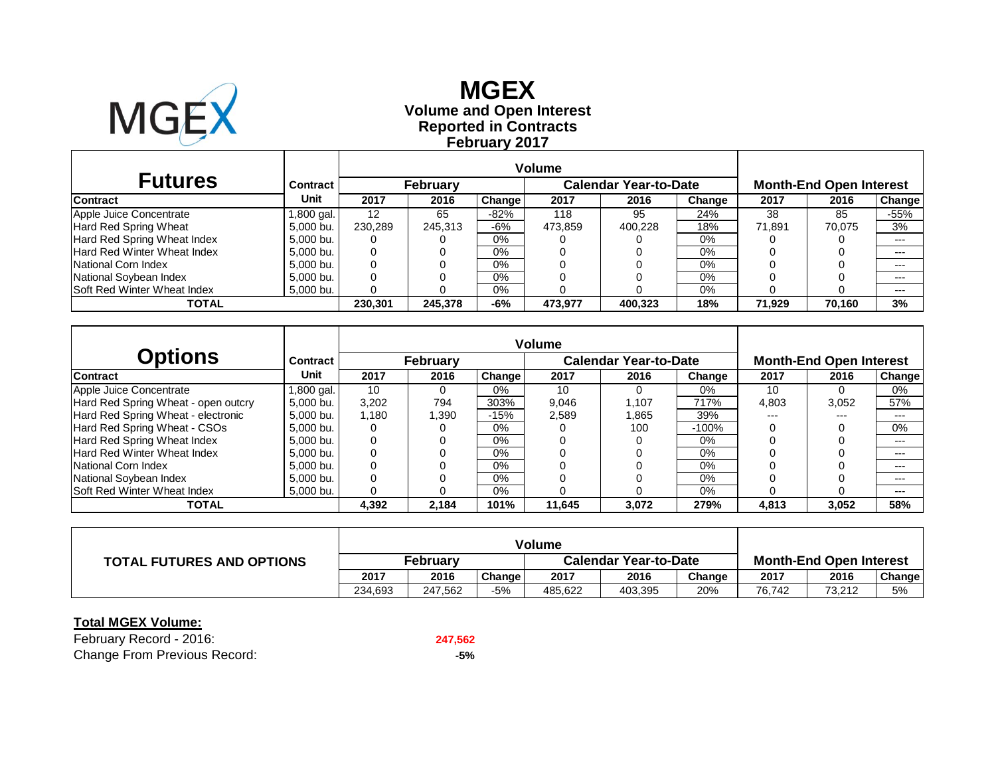

## **Reported in Contracts Volume and Open Interest MGEXFebruary 2017**

| <b>Futures</b>              | <b>Contract</b> |         | February |        |         | <b>Calendar Year-to-Date</b> |        |        | <b>Month-End Open Interest</b> |        |  |  |
|-----------------------------|-----------------|---------|----------|--------|---------|------------------------------|--------|--------|--------------------------------|--------|--|--|
| <b>Contract</b>             | Unit            | 2017    | 2016     | Change | 2017    | 2016                         | Change | 2017   | 2016                           | Change |  |  |
| Apple Juice Concentrate     | 1,800 gal.      | 12      | 65       | $-82%$ | 118     | 95                           | 24%    | 38     | 85                             | $-55%$ |  |  |
| Hard Red Spring Wheat       | 5,000 bu.       | 230,289 | 245.313  | -6%    | 473.859 | 400.228                      | 18%    | 71.891 | 70.075                         | 3%     |  |  |
| Hard Red Spring Wheat Index | 5,000 bu.       |         |          | $0\%$  |         |                              | 0%     |        |                                | $---$  |  |  |
| Hard Red Winter Wheat Index | 5,000 bu.       |         |          | $0\%$  |         |                              | 0%     |        |                                | $---$  |  |  |
| National Corn Index         | 5,000 bu.       |         |          | $0\%$  |         |                              | 0%     |        |                                | $---$  |  |  |
| National Soybean Index      | 5,000 bu.       |         |          | $0\%$  |         |                              | 0%     |        |                                | $---$  |  |  |
| Soft Red Winter Wheat Index | 5,000 bu.       |         |          | $0\%$  |         |                              | 0%     |        |                                | $---$  |  |  |
| <b>TOTAL</b>                |                 | 230.301 | 245,378  | -6%    | 473,977 | 400.323                      | 18%    | 71.929 | 70.160                         | 3%     |  |  |

| <b>Options</b>                      | Contract      |       | <b>February</b> |        |        | <b>Calendar Year-to-Date</b> |         | <b>Month-End Open Interest</b> |       |        |  |
|-------------------------------------|---------------|-------|-----------------|--------|--------|------------------------------|---------|--------------------------------|-------|--------|--|
| <b>Contract</b>                     | <b>Unit</b>   | 2017  | 2016            | Change | 2017   | 2016                         | Change  | 2017                           | 2016  | Change |  |
| Apple Juice Concentrate             | l .800 gal. l | 10    |                 | $0\%$  | 10     | $\Omega$                     | 0%      | 10                             | 0     | 0%     |  |
| Hard Red Spring Wheat - open outcry | 5.000 bu.     | 3,202 | 794             | 303%   | 9,046  | 1.107                        | 717%    | 4,803                          | 3,052 | 57%    |  |
| Hard Red Spring Wheat - electronic  | 5.000 bu.     | 1.180 | .390            | $-15%$ | 2,589  | .865                         | 39%     | ---                            | $---$ | $---$  |  |
| Hard Red Spring Wheat - CSOs        | 5.000 bu.     |       |                 | 0%     |        | 100                          | $-100%$ |                                |       | $0\%$  |  |
| Hard Red Spring Wheat Index         | 5.000 bu.     |       |                 | $0\%$  |        |                              | $0\%$   |                                |       | $---$  |  |
| Hard Red Winter Wheat Index         | 5.000 bu.     |       |                 | $0\%$  |        |                              | $0\%$   |                                |       | $---$  |  |
| National Corn Index                 | 5.000 bu.     |       |                 | $0\%$  |        |                              | 0%      |                                |       | $---$  |  |
| National Soybean Index              | 5.000 bu.     |       |                 | $0\%$  |        |                              | $0\%$   |                                |       | $---$  |  |
| Soft Red Winter Wheat Index         | 5.000 bu.     |       |                 | $0\%$  |        |                              | 0%      |                                |       | $---$  |  |
| <b>TOTAL</b>                        |               | 4,392 | 2.184           | 101%   | 11,645 | 3,072                        | 279%    | 4,813                          | 3,052 | 58%    |  |

| <b>TOTAL FUTURES AND OPTIONS</b> | Februarv |         |        | <b>Calendar Year-to-Date</b> |         |        | <b>Month-End Open Interest</b> |        |               |  |
|----------------------------------|----------|---------|--------|------------------------------|---------|--------|--------------------------------|--------|---------------|--|
|                                  | 2017     | 2016    | Change | 2017                         | 2016    | Change | 2017                           | 2016   | <b>Change</b> |  |
|                                  | 234.693  | 247.562 | $-5%$  | 485.622                      | 403,395 | 20%    | 76.742                         | 73.212 | 5%            |  |

#### **Total MGEX Volume:**

February Record - 2016: **247,562** Change From Previous Record: **-5%**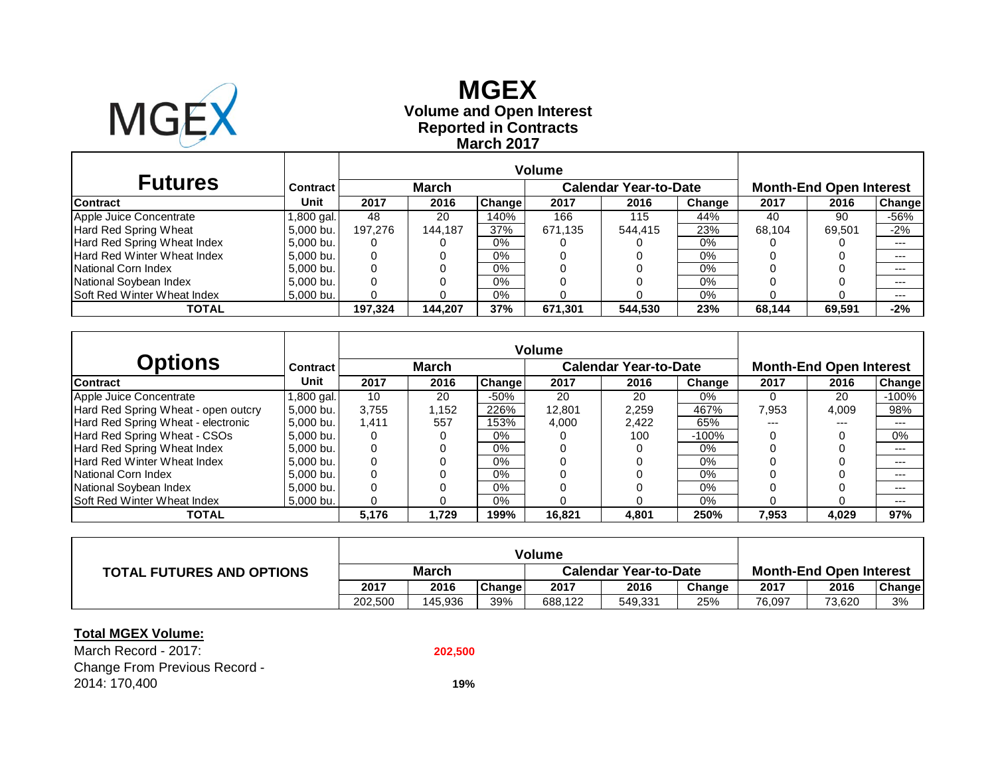

## **Reported in Contracts Volume and Open Interest MGEXMarch 2017**

| <b>Futures</b>              | <b>Contract</b>     |         | <b>March</b> |        |         | <b>Calendar Year-to-Date</b> |        | <b>Month-End Open Interest</b> |        |               |  |
|-----------------------------|---------------------|---------|--------------|--------|---------|------------------------------|--------|--------------------------------|--------|---------------|--|
| <b>Contract</b>             | Unit                | 2017    | 2016         | Change | 2017    | 2016                         | Change | 2017                           | 2016   | <b>Change</b> |  |
| Apple Juice Concentrate     | 1.800 gal. <b> </b> | 48      | 20           | 140%   | 166     | 115                          | 44%    | 40                             | 90     | -56%          |  |
| Hard Red Spring Wheat       | 5,000 bu.           | 197.276 | 144.187      | 37%    | 671.135 | 544.415                      | 23%    | 68.104                         | 69.501 | $-2%$         |  |
| Hard Red Spring Wheat Index | 5.000 bu.           | O       |              | 0%     |         |                              | 0%     |                                |        | $---$         |  |
| Hard Red Winter Wheat Index | 5,000 bu.           | O       |              | 0%     |         |                              | 0%     |                                |        | $---$         |  |
| National Corn Index         | 5.000 bu.           |         |              | 0%     |         |                              | 0%     |                                |        | $---$         |  |
| National Soybean Index      | 5,000 bu.           |         |              | 0%     |         |                              | 0%     |                                |        | $---$         |  |
| Soft Red Winter Wheat Index | 5,000 bu.           |         |              | 0%     |         |                              | 0%     |                                |        | $---$         |  |
| TOTAL                       |                     | 197.324 | 144.207      | 37%    | 671,301 | 544.530                      | 23%    | 68.144                         | 69,591 | $-2%$         |  |

| <b>Options</b>                      | Contract  |       | March |        |        | <b>Calendar Year-to-Date</b> |          | <b>Month-End Open Interest</b> |       |         |  |
|-------------------------------------|-----------|-------|-------|--------|--------|------------------------------|----------|--------------------------------|-------|---------|--|
| <b>Contract</b>                     | Unit      | 2017  | 2016  | Change | 2017   | 2016                         | Change   | 2017                           | 2016  | Change  |  |
| Apple Juice Concentrate             | .800 gal. | 10    | 20    | $-50%$ | 20     | 20                           | 0%       |                                | 20    | $-100%$ |  |
| Hard Red Spring Wheat - open outcry | 5.000 bu. | 3.755 | 1,152 | 226%   | 12.801 | 2,259                        | 467%     | 7,953                          | 4,009 | 98%     |  |
| Hard Red Spring Wheat - electronic  | 5.000 bu. | 1,411 | 557   | 153%   | 4,000  | 2,422                        | 65%      | $---$                          | ---   | ---     |  |
| Hard Red Spring Wheat - CSOs        | 5.000 bu. | 0     | 0     | 0%     |        | 100                          | $-100\%$ |                                |       | 0%      |  |
| Hard Red Spring Wheat Index         | 5.000 bu. | 0     |       | 0%     |        |                              | $0\%$    |                                |       | ---     |  |
| Hard Red Winter Wheat Index         | 5.000 bu. | 0     | 0     | 0%     |        |                              | 0%       |                                |       | ---     |  |
| National Corn Index                 | 5.000 bu. | 0     |       | 0%     |        |                              | $0\%$    |                                |       | ---     |  |
| National Soybean Index              | 5.000 bu. | 0     |       | 0%     |        |                              | $0\%$    |                                |       | ---     |  |
| Soft Red Winter Wheat Index         | 5.000 bu. | 0     |       | 0%     |        |                              | 0%       |                                |       | $---$   |  |
| <b>TOTAL</b>                        |           | 5,176 | 1,729 | 199%   | 16,821 | 4,801                        | 250%     | 7,953                          | 4,029 | 97%     |  |

|                                  |              |         |        | Volume                       |         |        |        |                                |               |
|----------------------------------|--------------|---------|--------|------------------------------|---------|--------|--------|--------------------------------|---------------|
| <b>TOTAL FUTURES AND OPTIONS</b> | <b>March</b> |         |        | <b>Calendar Year-to-Date</b> |         |        |        | <b>Month-End Open Interest</b> |               |
|                                  | 2017         | 2016    | Change | 2017                         | 2016    | Change | 2017   | 2016                           | <b>Change</b> |
|                                  | 202.500      | 145.936 | 39%    | 688,122                      | 549,331 | 25%    | 76,097 | 73,620                         | 3%            |

#### **Total MGEX Volume:**

March Record - 2017:Change From Previous Record - 2014: 170,400 **19%**

**202,500**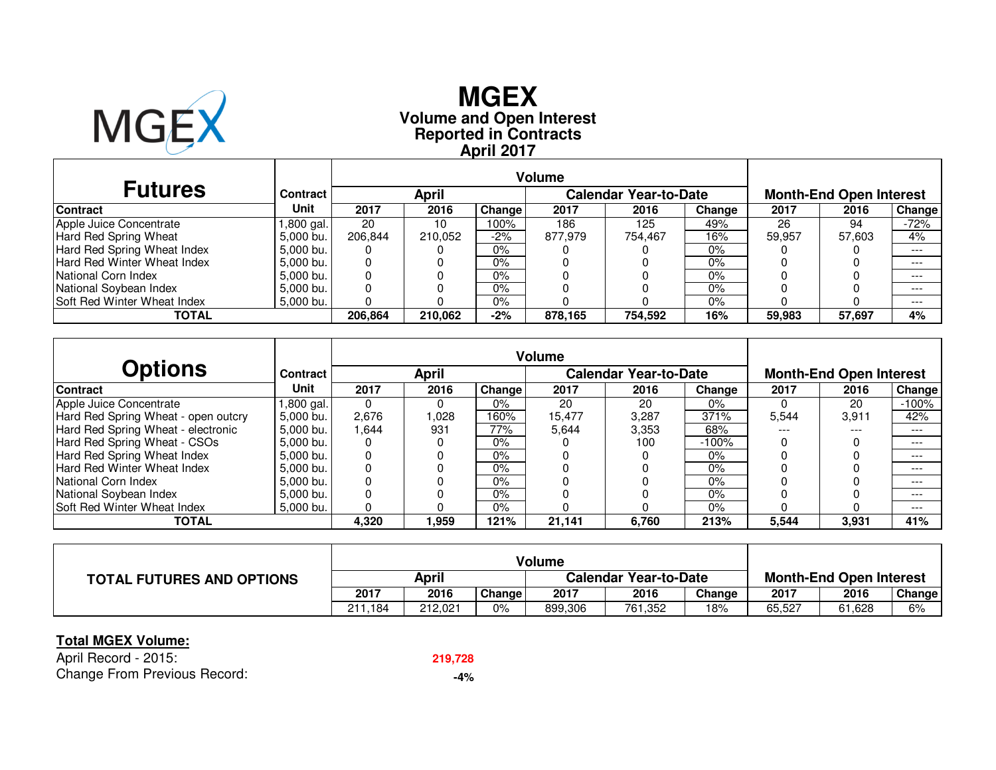

# **Reported in Contracts Volume and Open Interest MGEXApril 2017**

| <b>Futures</b>                     | Contract    |         | <b>April</b> | <b>Month-End Open Interest</b> |         |         |        |        |        |         |
|------------------------------------|-------------|---------|--------------|--------------------------------|---------|---------|--------|--------|--------|---------|
| <b>Contract</b>                    | Unit        | 2017    | 2016         | Change                         | 2017    | 2016    | Change | 2017   | 2016   | Change  |
| Apple Juice Concentrate            | l,800 gal.  | 20      | 10           | 100%                           | 186     | 125     | 49%    | 26     | 94     | -72%    |
| Hard Red Spring Wheat              | 5,000 bu.   | 206.844 | 210.052      | $-2%$                          | 877.979 | 754.467 | 16%    | 59,957 | 57.603 | 4%      |
| Hard Red Spring Wheat Index        | $5,000$ bu. | U       |              | $0\%$                          |         |         | $0\%$  |        |        | $- - -$ |
| Hard Red Winter Wheat Index        | 5.000 bu.   |         |              | 0%                             |         |         | $0\%$  |        |        | $---$   |
| National Corn Index                | 5.000 bu.   |         |              | 0%                             |         |         | $0\%$  |        |        | $---$   |
| National Soybean Index             | 5.000 bu.   |         |              | 0%                             |         |         | $0\%$  |        |        | $---$   |
| <b>Soft Red Winter Wheat Index</b> | $5,000$ bu. |         |              | 0%                             |         |         | $0\%$  |        |        | $---$   |
| TOTAL                              |             | 206.864 | 210.062      | $-2%$                          | 878,165 | 754,592 | 16%    | 59.983 | 57,697 | 4%      |

| <b>Options</b>                      | Contract  |       | <b>April</b> |        |        | <b>Calendar Year-to-Date</b> |         | <b>Month-End Open Interest</b> |       |          |  |
|-------------------------------------|-----------|-------|--------------|--------|--------|------------------------------|---------|--------------------------------|-------|----------|--|
| <b>Contract</b>                     | Unit      | 2017  | 2016         | Change | 2017   | 2016                         | Change  | 2017                           | 2016  | Change   |  |
| Apple Juice Concentrate             | ,800 gal. |       |              | $0\%$  | 20     | 20                           | $0\%$   |                                | 20    | $-100\%$ |  |
| Hard Red Spring Wheat - open outcry | 5.000 bu. | 2.676 | 1.028        | 160%   | 15.477 | 3.287                        | 371%    | 5.544                          | 3.911 | 42%      |  |
| Hard Red Spring Wheat - electronic  | 5.000 bu. | 1.644 | 931          | 77%    | 5,644  | 3,353                        | 68%     | $---$                          | $---$ | ---      |  |
| Hard Red Spring Wheat - CSOs        | 5.000 bu. |       |              | $0\%$  |        | 100                          | $-100%$ |                                |       | ---      |  |
| Hard Red Spring Wheat Index         | 5.000 bu. |       |              | $0\%$  |        |                              | $0\%$   |                                |       | $---$    |  |
| <b>Hard Red Winter Wheat Index</b>  | 5,000 bu. |       |              | $0\%$  |        |                              | $0\%$   |                                |       | $---$    |  |
| National Corn Index                 | 5.000 bu. |       |              | $0\%$  |        |                              | $0\%$   |                                |       | $---$    |  |
| National Soybean Index              | 5,000 bu. |       |              | $0\%$  |        |                              | $0\%$   |                                |       | ---      |  |
| Soft Red Winter Wheat Index         | 5.000 bu. |       |              | $0\%$  |        |                              | $0\%$   |                                |       | $---$    |  |
| <b>TOTAL</b>                        |           | 4,320 | 1.959        | 121%   | 21,141 | 6,760                        | 213%    | 5,544                          | 3,931 | 41%      |  |

|                                  |         |         |               | Volume                       |         |        |                                |        |        |  |
|----------------------------------|---------|---------|---------------|------------------------------|---------|--------|--------------------------------|--------|--------|--|
| <b>TOTAL FUTURES AND OPTIONS</b> |         | April   |               | <b>Calendar Year-to-Date</b> |         |        | <b>Month-End Open Interest</b> |        |        |  |
|                                  | 2017    | 2016    | <b>Change</b> | 2017                         | 2016    | Change | 2017                           | 2016   | Change |  |
|                                  | 211.184 | 212.021 | $0\%$         | 899,306                      | 761,352 | 18%    | 65,527                         | 61,628 | 6%     |  |

### **Total MGEX Volume:**

April Record - 2015:Change From Previous Record:

**219,728**

**-4%**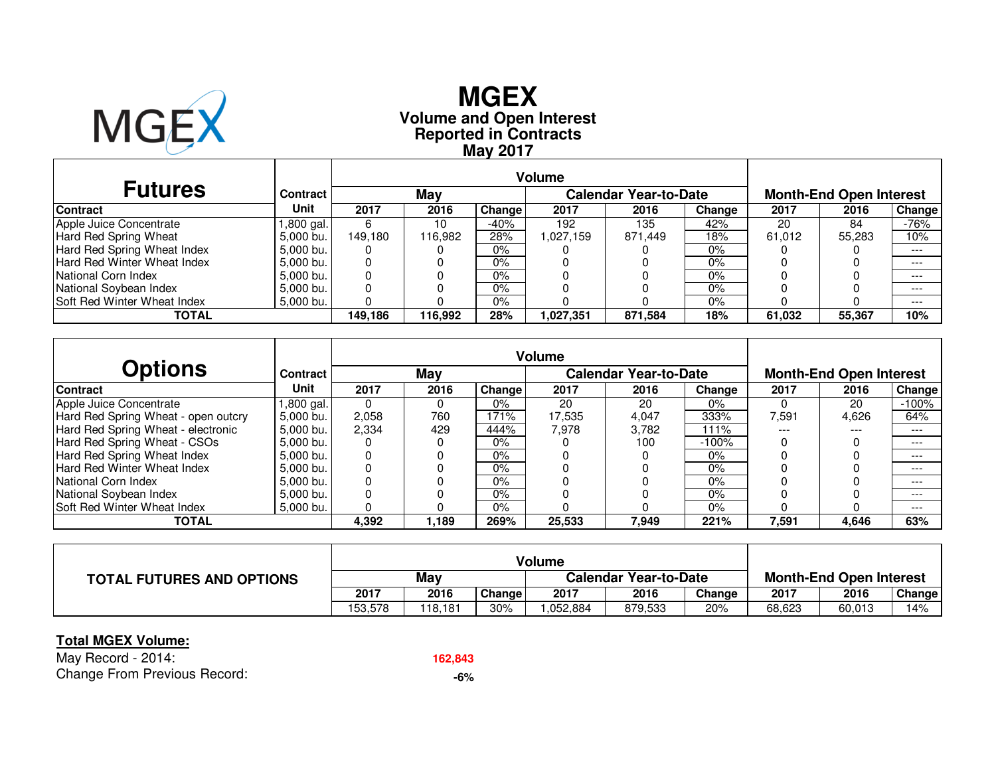

# **Reported in Contracts Volume and Open Interest MGEXMay 2017**

| <b>Futures</b>                     | Contract    |         | May     |        |           | <b>Calendar Year-to-Date</b> |        | <b>Month-End Open Interest</b> |        |        |  |
|------------------------------------|-------------|---------|---------|--------|-----------|------------------------------|--------|--------------------------------|--------|--------|--|
| <b>Contract</b>                    | Unit        | 2017    | 2016    | Change | 2017      | 2016                         | Change | 2017                           | 2016   | Change |  |
| Apple Juice Concentrate            | l,800 gal.  | 6       | 10      | -40%   | 192       | 135                          | 42%    | 20                             | 84     | $-76%$ |  |
| Hard Red Spring Wheat              | 5,000 bu.   | 149.180 | 116.982 | 28%    | ,027,159  | 871,449                      | 18%    | 61.012                         | 55.283 | 10%    |  |
| Hard Red Spring Wheat Index        | 5.000 bu.   |         |         | $0\%$  |           |                              | $0\%$  |                                |        | $---$  |  |
| Hard Red Winter Wheat Index        | 5.000 bu.   |         |         | 0%     |           |                              | $0\%$  |                                |        | $---$  |  |
| National Corn Index                | 5.000 bu.   |         |         | 0%     |           |                              | $0\%$  |                                |        | $---$  |  |
| National Soybean Index             | 5.000 bu.   |         |         | 0%     |           |                              | $0\%$  |                                |        | $---$  |  |
| <b>Soft Red Winter Wheat Index</b> | $5,000$ bu. |         |         | 0%     |           |                              | $0\%$  |                                |        | $---$  |  |
| TOTAL                              |             | 149.186 | 116,992 | 28%    | 1,027,351 | 871,584                      | 18%    | 61,032                         | 55,367 | 10%    |  |

| <b>Options</b>                      | Contract  |       | May   |        |        | <b>Calendar Year-to-Date</b> |         | <b>Month-End Open Interest</b> |       |          |  |
|-------------------------------------|-----------|-------|-------|--------|--------|------------------------------|---------|--------------------------------|-------|----------|--|
| <b>Contract</b>                     | Unit      | 2017  | 2016  | Change | 2017   | 2016                         | Change  | 2017                           | 2016  | Change   |  |
| Apple Juice Concentrate             | ,800 gal. |       |       | $0\%$  | 20     | 20                           | $0\%$   |                                | 20    | $-100\%$ |  |
| Hard Red Spring Wheat - open outcry | 5.000 bu. | 2.058 | 760   | 171%   | 17.535 | 4.047                        | 333%    | 7.591                          | 4.626 | 64%      |  |
| Hard Red Spring Wheat - electronic  | 5,000 bu. | 2,334 | 429   | 444%   | 7.978  | 3.782                        | 111%    | $---$                          | ---   | $---$    |  |
| Hard Red Spring Wheat - CSOs        | 5.000 bu. |       |       | $0\%$  |        | 100                          | $-100%$ |                                |       | ---      |  |
| Hard Red Spring Wheat Index         | 5.000 bu. |       |       | $0\%$  |        |                              | $0\%$   |                                |       | $---$    |  |
| <b>Hard Red Winter Wheat Index</b>  | 5,000 bu. |       |       | $0\%$  |        |                              | $0\%$   |                                |       | $---$    |  |
| National Corn Index                 | 5.000 bu. |       |       | $0\%$  |        |                              | $0\%$   |                                |       | $---$    |  |
| National Soybean Index              | 5,000 bu. |       |       | $0\%$  |        |                              | $0\%$   |                                |       | ---      |  |
| Soft Red Winter Wheat Index         | 5.000 bu. |       |       | $0\%$  |        |                              | $0\%$   |                                |       | $---$    |  |
| <b>TOTAL</b>                        |           | 4,392 | 1.189 | 269%   | 25,533 | 7,949                        | 221%    | 7,591                          | 4,646 | 63%      |  |

|                                  |         |         |               | Volume                       |         |        |                                |        |        |
|----------------------------------|---------|---------|---------------|------------------------------|---------|--------|--------------------------------|--------|--------|
| <b>TOTAL FUTURES AND OPTIONS</b> | May     |         |               | <b>Calendar Year-to-Date</b> |         |        | <b>Month-End Open Interest</b> |        |        |
|                                  | 2017    | 2016    | <b>Change</b> | 2017                         | 2016    | Change | 2017                           | 2016   | Change |
|                                  | 153.578 | 118.181 | 30%           | .052,884                     | 879,533 | 20%    | 68,623                         | 60,013 | 14%    |

### **Total MGEX Volume:**

May Record - 2014: Change From Previous Record: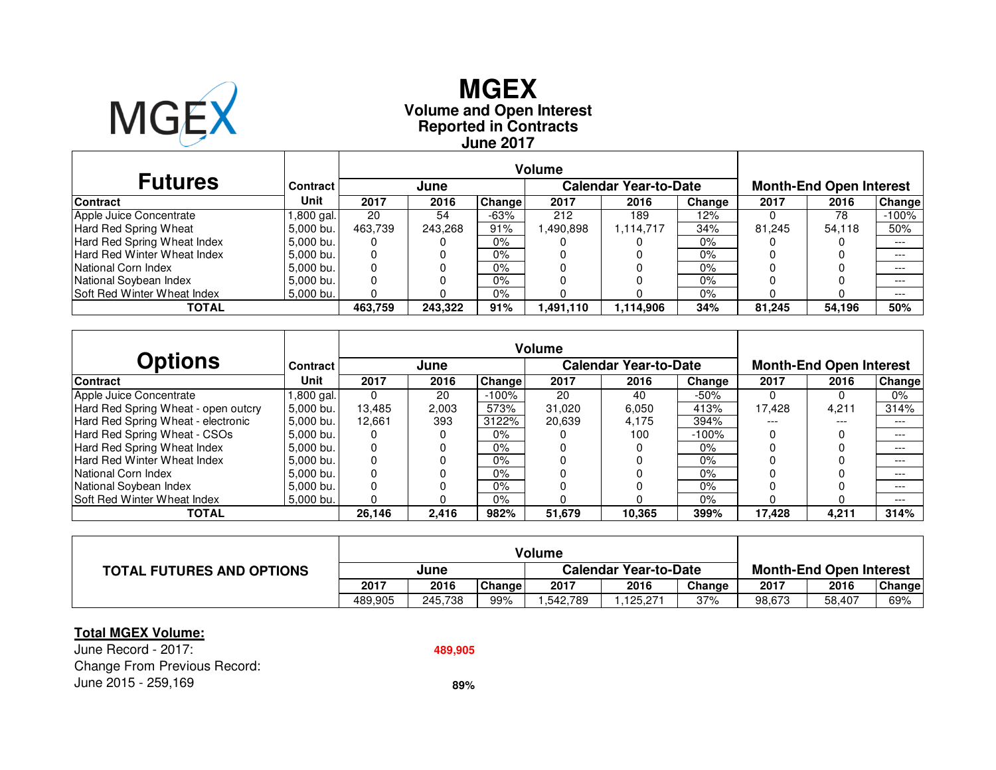

## **Reported in Contracts Volume and Open Interest MGEXJune 2017**

|                                    |                 | <b>Volume</b> |         |        |           |                              |        |                                |        |               |  |
|------------------------------------|-----------------|---------------|---------|--------|-----------|------------------------------|--------|--------------------------------|--------|---------------|--|
| <b>Futures</b>                     | <b>Contract</b> |               | June    |        |           | <b>Calendar Year-to-Date</b> |        | <b>Month-End Open Interest</b> |        |               |  |
| <b>Contract</b>                    | Unit            | 2017          | 2016    | Change | 2017      | 2016                         | Change | 2017                           | 2016   | <b>Change</b> |  |
| Apple Juice Concentrate            | ,800 gal.       | 20            | 54      | $-63%$ | 212       | 189                          | 12%    |                                | 78     | $-100%$       |  |
| Hard Red Spring Wheat              | 5.000 bu.       | 463.739       | 243.268 | 91%    | ,490,898  | 1,114,717                    | 34%    | 81.245                         | 54.118 | 50%           |  |
| Hard Red Spring Wheat Index        | 5.000 bu.       | 0             |         | $0\%$  |           |                              | 0%     |                                |        | $---$         |  |
| Hard Red Winter Wheat Index        | 5,000 bu.       | 0             |         | $0\%$  |           |                              | 0%     |                                |        | $---$         |  |
| National Corn Index                | $5.000$ bu.     | 0             |         | $0\%$  |           |                              | 0%     |                                |        | $---$         |  |
| National Soybean Index             | 5.000 bu.       |               |         | $0\%$  |           |                              | $0\%$  |                                |        | $---$         |  |
| <b>Soft Red Winter Wheat Index</b> | 5,000 bu.       |               |         | $0\%$  |           |                              | 0%     |                                |        | $---$         |  |
| TOTAL                              |                 | 463.759       | 243.322 | 91%    | 1,491,110 | 1,114,906                    | 34%    | 81,245                         | 54,196 | 50%           |  |

| <b>Options</b>                      | Contract  |        | June  |         |        | <b>Calendar Year-to-Date</b> |         | <b>Month-End Open Interest</b> |       |        |  |
|-------------------------------------|-----------|--------|-------|---------|--------|------------------------------|---------|--------------------------------|-------|--------|--|
| <b>Contract</b>                     | Unit      | 2017   | 2016  | Change  | 2017   | 2016                         | Change  | 2017                           | 2016  | Change |  |
| Apple Juice Concentrate             | .800 gal. | 0      | 20    | $-100%$ | 20     | 40                           | $-50%$  |                                |       | 0%     |  |
| Hard Red Spring Wheat - open outcry | 5.000 bu. | 13.485 | 2,003 | 573%    | 31.020 | 6.050                        | 413%    | 17.428                         | 4,211 | 314%   |  |
| Hard Red Spring Wheat - electronic  | 5.000 bu. | 12.661 | 393   | 3122%   | 20,639 | 4.175                        | 394%    | ---                            | ---   | $---$  |  |
| Hard Red Spring Wheat - CSOs        | 5.000 bu. | 0      |       | $0\%$   |        | 100                          | $-100%$ |                                |       | $---$  |  |
| Hard Red Spring Wheat Index         | 5,000 bu. | 0      |       | $0\%$   |        |                              | $0\%$   |                                |       | $---$  |  |
| Hard Red Winter Wheat Index         | 5.000 bu. | 0      |       | $0\%$   |        |                              | $0\%$   |                                |       | ---    |  |
| National Corn Index                 | 5.000 bu. |        |       | $0\%$   |        |                              | $0\%$   |                                |       | ---    |  |
| National Soybean Index              | 5.000 bu. | 0      |       | $0\%$   |        |                              | $0\%$   |                                |       | $---$  |  |
| Soft Red Winter Wheat Index         | 5.000 bu. |        |       | 0%      |        |                              | $0\%$   |                                |       | $---$  |  |
| TOTAL                               |           | 26,146 | 2,416 | 982%    | 51,679 | 10,365                       | 399%    | 17,428                         | 4,211 | 314%   |  |

| <b>TOTAL FUTURES AND OPTIONS</b> | June    |         |        | <b>Calendar Year-to-Date</b> |          |        | <b>Month-End Open Interest</b> |        |               |
|----------------------------------|---------|---------|--------|------------------------------|----------|--------|--------------------------------|--------|---------------|
|                                  | 2017    | 2016    | Change | 2017                         | 2016     | Change | 2017                           | 2016   | <b>Change</b> |
|                                  | 489.905 | 245.738 | 99%    | .542,789                     | .125.271 | 37%    | 98,673                         | 58,407 | 69%           |

#### **Total MGEX Volume:**

June Record - 2017:Change From Previous Record: June 2015 - 259,169**89%**

**489,905**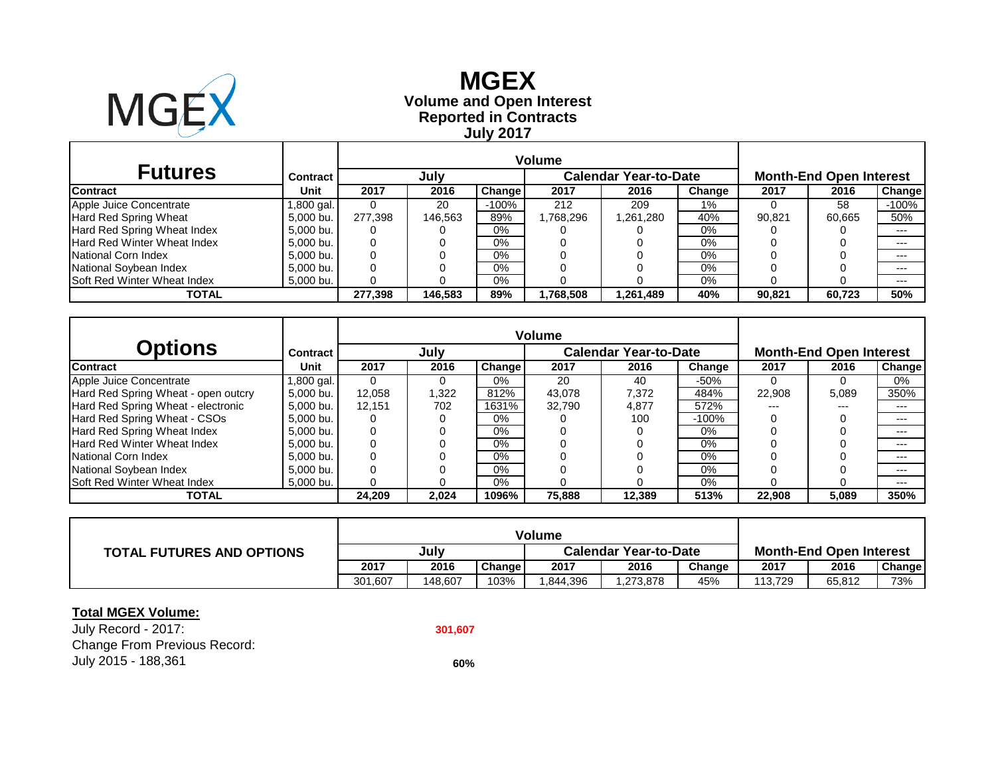

r.

## **Reported in Contracts Volume and Open Interest MGEX July 2017**

| <b>Futures</b>                     | Contract   |         | July    |         |           | <b>Calendar Year-to-Date</b> | <b>Month-End Open Interest</b> |        |        |               |
|------------------------------------|------------|---------|---------|---------|-----------|------------------------------|--------------------------------|--------|--------|---------------|
| <b>Contract</b>                    | Unit       | 2017    | 2016    | Change  | 2017      | 2016                         | Change                         | 2017   | 2016   | <b>Change</b> |
| Apple Juice Concentrate            | 1,800 gal. |         | 20      | $-100%$ | 212       | 209                          | 1%                             |        | 58     | $-100%$       |
| Hard Red Spring Wheat              | 5.000 bu.  | 277.398 | 146.563 | 89%     | .768.296  | 1,261,280                    | 40%                            | 90.821 | 60.665 | 50%           |
| Hard Red Spring Wheat Index        | 5.000 bu.  | 0       |         | 0%      |           |                              | 0%                             |        |        | $---$         |
| <b>Hard Red Winter Wheat Index</b> | 5,000 bu.  | 0       |         | $0\%$   |           |                              | 0%                             |        |        | $---$         |
| National Corn Index                | 5.000 bu.  | 0       |         | 0%      |           |                              | 0%                             |        |        | $---$         |
| National Soybean Index             | 5.000 bu.  | 0       |         | 0%      |           |                              | 0%                             |        |        | $---$         |
| <b>Soft Red Winter Wheat Index</b> | 5,000 bu.  |         |         | 0%      |           |                              | 0%                             |        |        | $---$         |
| TOTAL                              |            | 277.398 | 146,583 | 89%     | 1,768,508 | 1,261,489                    | 40%                            | 90,821 | 60.723 | 50%           |

|                                     |                 | <b>Volume</b> |       |               |        |                              |         |                                |       |               |  |
|-------------------------------------|-----------------|---------------|-------|---------------|--------|------------------------------|---------|--------------------------------|-------|---------------|--|
| Options                             | <b>Contract</b> |               | July  |               |        | <b>Calendar Year-to-Date</b> |         | <b>Month-End Open Interest</b> |       |               |  |
| <b>Contract</b>                     | Unit            | 2017          | 2016  | <b>Change</b> | 2017   | 2016                         | Change  | 2017                           | 2016  | <b>Change</b> |  |
| Apple Juice Concentrate             | l,800 gal.      | $\Omega$      |       | $0\%$         | 20     | 40                           | -50%    |                                |       | 0%            |  |
| Hard Red Spring Wheat - open outcry | 5.000 bu.       | 12.058        | 1,322 | 812%          | 43.078 | 7,372                        | 484%    | 22,908                         | 5,089 | 350%          |  |
| Hard Red Spring Wheat - electronic  | 5.000 bu.       | 12.151        | 702   | 1631%         | 32.790 | 4,877                        | 572%    | ---                            | $---$ | $---$         |  |
| Hard Red Spring Wheat - CSOs        | 5.000 bu.       | 0             |       | $0\%$         |        | 100                          | $-100%$ |                                |       | $---$         |  |
| Hard Red Spring Wheat Index         | 5,000 bu.       | 0             |       | $0\%$         |        |                              | 0%      |                                |       | $---$         |  |
| Hard Red Winter Wheat Index         | 5.000 bu.       | 0             |       | $0\%$         |        |                              | $0\%$   |                                |       | $---$         |  |
| National Corn Index                 | 5.000 bu.       |               |       | $0\%$         |        |                              | $0\%$   |                                |       | $---$         |  |
| National Soybean Index              | 5.000 bu.       | $\Omega$      |       | $0\%$         |        |                              | $0\%$   |                                |       | $---$         |  |
| Soft Red Winter Wheat Index         | 5,000 bu.       |               |       | $0\%$         |        |                              | 0%      |                                |       | $---$         |  |
| <b>TOTAL</b>                        |                 | 24.209        | 2,024 | 1096%         | 75,888 | 12.389                       | 513%    | 22,908                         | 5,089 | 350%          |  |

| <b>TOTAL FUTURES AND OPTIONS</b> | Julv    |         |        | <b>Calendar Year-to-Date</b> |          |        | <b>Month-End Open Interest</b> |        |               |  |
|----------------------------------|---------|---------|--------|------------------------------|----------|--------|--------------------------------|--------|---------------|--|
|                                  | 2017    | 2016    | Change | 2017                         | 2016     | Change | 2017                           | 2016   | <b>Change</b> |  |
|                                  | 301.607 | 148.607 | 103%   | .844.396                     | .273,878 | 45%    | 113.729                        | 65.812 | 73%           |  |

### **Total MGEX Volume:**

July Record - 2017: **301,607** Change From Previous Record: July 2015 - 188,361 **60%**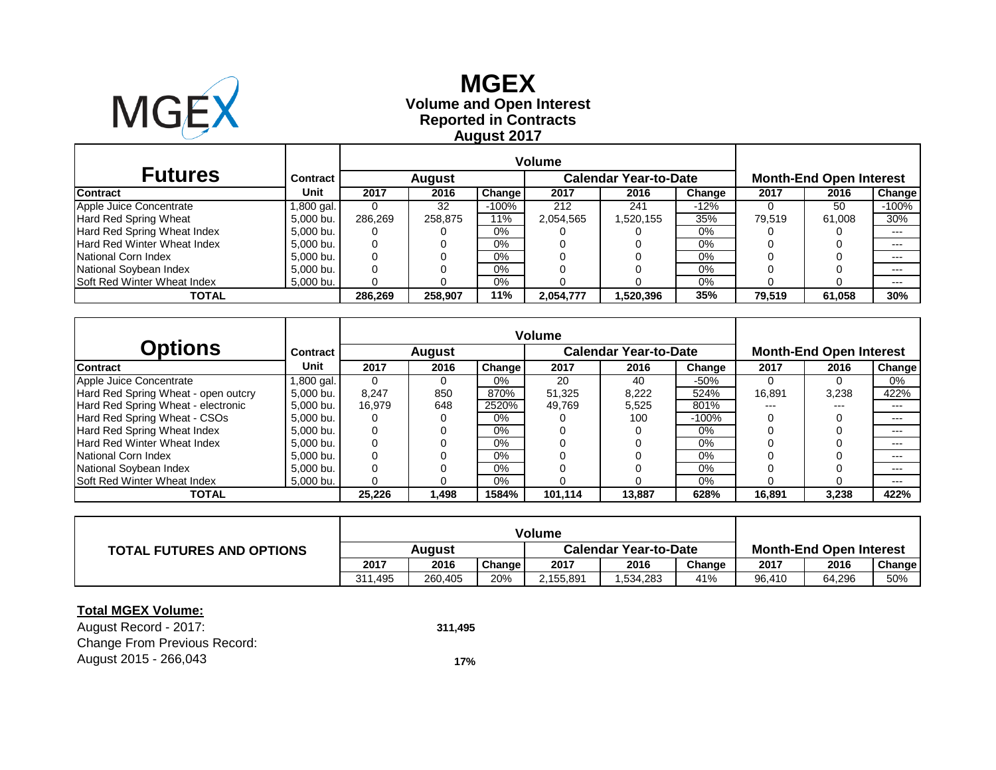

### **Reported in Contracts Volume and Open Interest MGEX August 2017**

| <b>Futures</b>              | <b>Contract</b> |         | <b>August</b> |               |           | <b>Calendar Year-to-Date</b> | <b>Month-End Open Interest</b> |        |        |               |
|-----------------------------|-----------------|---------|---------------|---------------|-----------|------------------------------|--------------------------------|--------|--------|---------------|
| <b>Contract</b>             | Unit            | 2017    | 2016          | <b>Change</b> | 2017      | 2016                         | Change                         | 2017   | 2016   | <b>Change</b> |
| Apple Juice Concentrate     | .800 gal.       |         | 32            | $-100%$       | 212       | 241                          | -12%                           |        | 50     | $-100%$       |
| Hard Red Spring Wheat       | 5.000 bu.       | 286.269 | 258.875       | 11%           | 2,054,565 | 1,520,155                    | 35%                            | 79,519 | 61,008 | 30%           |
| Hard Red Spring Wheat Index | 5,000 bu.       | 0       |               | $0\%$         |           |                              | 0%                             |        |        | $---$         |
| Hard Red Winter Wheat Index | 5.000 bu.       | 0       |               | 0%            |           |                              | 0%                             |        |        | $---$         |
| National Corn Index         | 5.000 bu.       | 0       |               | 0%            |           |                              | 0%                             |        |        | $---$         |
| National Soybean Index      | 5,000 bu.       | 0       |               | 0%            |           |                              | 0%                             |        |        | $---$         |
| Soft Red Winter Wheat Index | 5,000 bu.       |         |               | 0%            |           |                              | 0%                             |        |        | $---$         |
| TOTAL                       |                 | 286.269 | 258.907       | 11%           | 2,054,777 | 1,520,396                    | 35%                            | 79.519 | 61,058 | 30%           |

|                                     |            | <b>Volume</b> |               |               |         |                              |         |                                |       |        |  |
|-------------------------------------|------------|---------------|---------------|---------------|---------|------------------------------|---------|--------------------------------|-------|--------|--|
| <b>Options</b>                      | Contract   |               | <b>August</b> |               |         | <b>Calendar Year-to-Date</b> |         | <b>Month-End Open Interest</b> |       |        |  |
| <b>Contract</b>                     | Unit       | 2017          | 2016          | <b>Change</b> | 2017    | 2016                         | Change  | 2017                           | 2016  | Change |  |
| Apple Juice Concentrate             | 1,800 gal. |               |               | $0\%$         | 20      | 40                           | $-50%$  |                                |       | 0%     |  |
| Hard Red Spring Wheat - open outcry | 5.000 bu.  | 8.247         | 850           | 870%          | 51.325  | 8.222                        | 524%    | 16,891                         | 3.238 | 422%   |  |
| Hard Red Spring Wheat - electronic  | 5.000 bu.  | 16.979        | 648           | 2520%         | 49.769  | 5,525                        | 801%    | ---                            | $---$ | $---$  |  |
| Hard Red Spring Wheat - CSOs        | 5.000 bu.  |               |               | $0\%$         |         | 100                          | $-100%$ |                                |       | $---$  |  |
| Hard Red Spring Wheat Index         | 5.000 bu.  | 0             |               | $0\%$         |         |                              | $0\%$   |                                |       | $---$  |  |
| Hard Red Winter Wheat Index         | 5.000 bu.  | 0             |               | $0\%$         |         |                              | 0%      |                                |       | $---$  |  |
| National Corn Index                 | 5.000 bu.  | 0             |               | $0\%$         |         |                              | 0%      |                                |       | $---$  |  |
| National Soybean Index              | 5.000 bu.  | $\Omega$      |               | $0\%$         |         |                              | $0\%$   |                                |       | ---    |  |
| Soft Red Winter Wheat Index         | 5,000 bu.  |               |               | $0\%$         |         |                              | 0%      |                                |       | $---$  |  |
| TOTAL                               |            | 25.226        | 1,498         | 1584%         | 101.114 | 13.887                       | 628%    | 16,891                         | 3,238 | 422%   |  |

| <b>TOTAL FUTURES AND OPTIONS</b> | Auaust  |         |               | <b>Calendar Year-to-Date</b> |          |        | <b>Month-End Open Interest</b> |        |        |  |
|----------------------------------|---------|---------|---------------|------------------------------|----------|--------|--------------------------------|--------|--------|--|
|                                  | 2017    | 2016    | <b>Change</b> | 2017                         | 2016     | Chanɑe | 2017                           | 2016   | Change |  |
|                                  | 311.495 | 260.405 | 20%           | 2,155,891                    | .534,283 | 41%    | 96.410                         | 64.296 | 50%    |  |

#### **Total MGEX Volume:**

August Record - 2017: **311,495** Change From Previous Record: August 2015 - 266,043 **17%**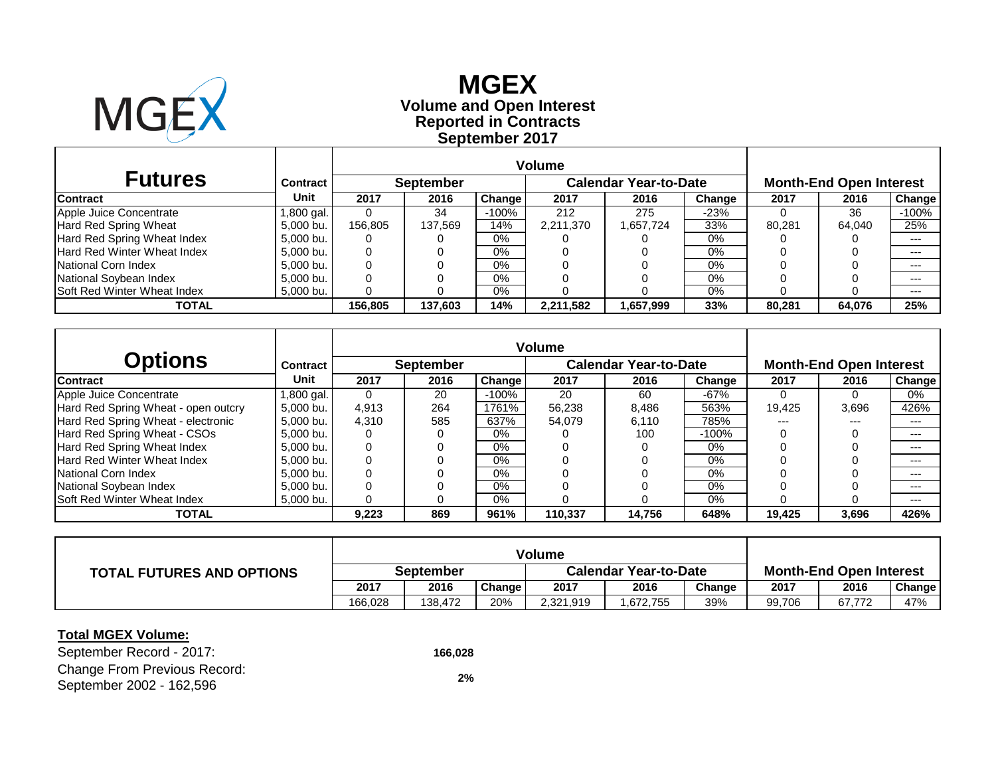

**Reported in Contracts Volume and Open Interest MGEX September 2017**

| <b>Futures</b>                     | <b>Contract</b> |         | <b>September</b> |         |           | <b>Calendar Year-to-Date</b> | <b>Month-End Open Interest</b> |        |        |        |
|------------------------------------|-----------------|---------|------------------|---------|-----------|------------------------------|--------------------------------|--------|--------|--------|
| <b>Contract</b>                    | Unit            | 2017    | 2016             | Change  | 2017      | 2016                         | Change                         | 2017   | 2016   | Change |
| Apple Juice Concentrate            | 1,800 gal.      |         | 34               | $-100%$ | 212       | 275                          | $-23%$                         |        | 36     | -100%  |
| Hard Red Spring Wheat              | 5.000 bu.       | 156.805 | 137.569          | 14%     | 2,211,370 | 1,657,724                    | 33%                            | 80.281 | 64.040 | 25%    |
| Hard Red Spring Wheat Index        | 5,000 bu.       |         |                  | $0\%$   |           |                              | 0%                             |        |        | $---$  |
| Hard Red Winter Wheat Index        | 5,000 bu.       |         |                  | $0\%$   |           |                              | 0%                             |        |        | $---$  |
| National Corn Index                | 5,000 bu.       |         |                  | $0\%$   |           |                              | 0%                             |        |        | $---$  |
| National Soybean Index             | 5,000 bu.       |         |                  | $0\%$   |           |                              | 0%                             |        |        | $---$  |
| <b>Soft Red Winter Wheat Index</b> | 5,000 bu.       |         |                  | $0\%$   |           |                              | 0%                             |        |        | ---    |
| TOTAL                              |                 | 156,805 | 137,603          | 14%     | 2,211,582 | 1,657,999                    | 33%                            | 80,281 | 64,076 | 25%    |

|                                     |                 |                                                  |      | <b>Volume</b> |         |        |         |        |                                |        |  |  |
|-------------------------------------|-----------------|--------------------------------------------------|------|---------------|---------|--------|---------|--------|--------------------------------|--------|--|--|
| Options                             | <b>Contract</b> | <b>Calendar Year-to-Date</b><br><b>September</b> |      |               |         |        |         |        | <b>Month-End Open Interest</b> |        |  |  |
| Contract                            | Unit            | 2017                                             | 2016 | Change        | 2017    | 2016   | Change  | 2017   | 2016                           | Change |  |  |
| Apple Juice Concentrate             | ,800 gal.       | $\Omega$                                         | 20   | -100%         | 20      | 60     | $-67%$  |        | O                              | 0%     |  |  |
| Hard Red Spring Wheat - open outcry | 5.000 bu.       | 4.913                                            | 264  | 1761%         | 56.238  | 8.486  | 563%    | 19.425 | 3,696                          | 426%   |  |  |
| Hard Red Spring Wheat - electronic  | 5,000 bu.       | 4.310                                            | 585  | 637%          | 54.079  | 6,110  | 785%    | ---    | ---                            | $---$  |  |  |
| Hard Red Spring Wheat - CSOs        | 5.000 bu.       |                                                  |      | $0\%$         |         | 100    | $-100%$ |        |                                | $---$  |  |  |
| Hard Red Spring Wheat Index         | 5.000 bu.       | 0                                                |      | 0%            |         |        | 0%      |        |                                | $---$  |  |  |
| Hard Red Winter Wheat Index         | 5.000 bu.       |                                                  |      | $0\%$         |         |        | 0%      |        |                                | $---$  |  |  |
| National Corn Index                 | 5.000 bu.       |                                                  |      | $0\%$         |         |        | 0%      |        |                                | $---$  |  |  |
| National Soybean Index              | 5.000 bu.       |                                                  |      | $0\%$         |         |        | 0%      |        |                                | $---$  |  |  |
| Soft Red Winter Wheat Index         | 5,000 bu.       |                                                  |      | $0\%$         |         |        | 0%      |        |                                | $---$  |  |  |
| <b>TOTAL</b>                        |                 | 9,223                                            | 869  | 961%          | 110,337 | 14.756 | 648%    | 19,425 | 3,696                          | 426%   |  |  |

| <b>TOTAL FUTURES AND OPTIONS</b> | September |         |        |           | <b>Calendar Year-to-Date</b> | <b>Month-End Open Interest</b> |        |        |        |
|----------------------------------|-----------|---------|--------|-----------|------------------------------|--------------------------------|--------|--------|--------|
|                                  | 2017      | 2016    | Change | 2017      | 2016                         | Change                         | 2017   | 2016   | Change |
|                                  | 166.028   | 138.472 | 20%    | 2,321,919 | .672,755                     | 39%                            | 99,706 | 67,772 | 47%    |

### **Total MGEX Volume:**

September Record - 2017: **166,028** Change From Previous Record: September 2002 - 162,596 **2%**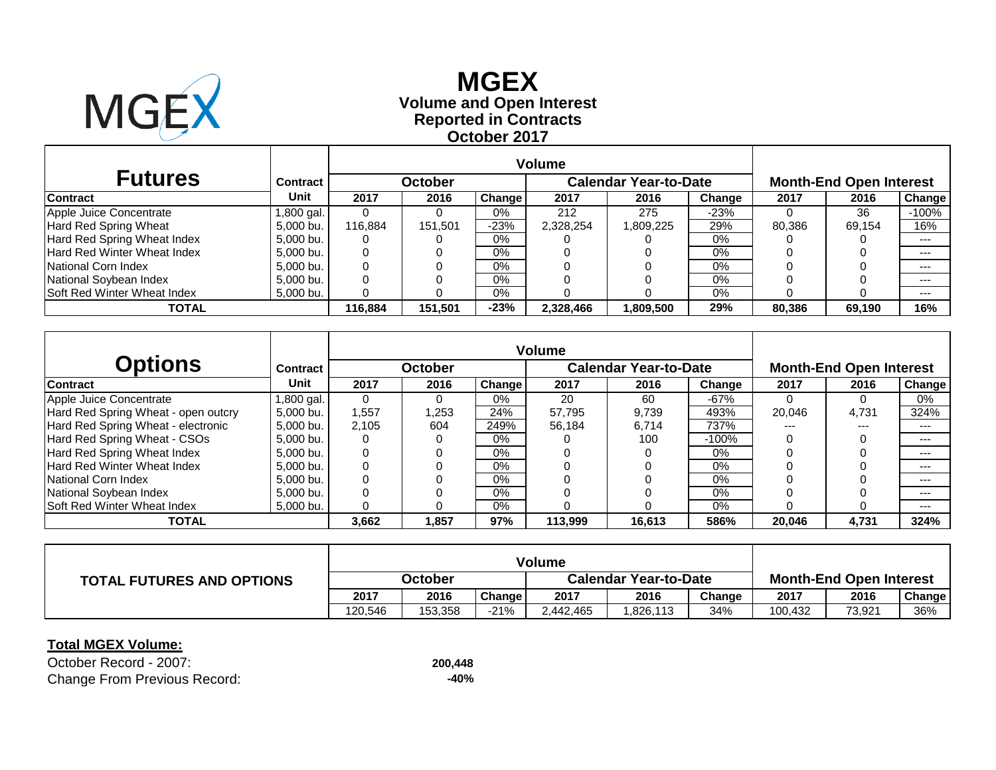

# **Reported in Contracts Volume and Open Interest MGEX October 2017**

| <b>Futures</b>                     | <b>Contract</b> |         | <b>October</b> |               |           | <b>Calendar Year-to-Date</b> |        | <b>Month-End Open Interest</b> |        |         |  |
|------------------------------------|-----------------|---------|----------------|---------------|-----------|------------------------------|--------|--------------------------------|--------|---------|--|
| <b>Contract</b>                    | Unit            | 2017    | 2016           | <b>Change</b> | 2017      | 2016                         | Change | 2017                           | 2016   | Change  |  |
| Apple Juice Concentrate            | 1,800 gal.      | 0       |                | $0\%$         | 212       | 275                          | -23%   |                                | 36     | $-100%$ |  |
| <b>Hard Red Spring Wheat</b>       | 5,000 bu.       | 116.884 | 151,501        | $-23%$        | 2,328,254 | ,809,225                     | 29%    | 80,386                         | 69.154 | 16%     |  |
| Hard Red Spring Wheat Index        | 5,000 bu.       | 0       |                | $0\%$         |           |                              | 0%     |                                |        | $---$   |  |
| Hard Red Winter Wheat Index        | 5.000 bu.       | 0       |                | $0\%$         |           |                              | 0%     |                                |        | $--$    |  |
| National Corn Index                | 5.000 bu.       | 0       |                | $0\%$         |           |                              | 0%     |                                |        | $---$   |  |
| National Soybean Index             | 5,000 bu.       | 0       |                | $0\%$         |           |                              | 0%     |                                |        | $--$    |  |
| <b>Soft Red Winter Wheat Index</b> | 5,000 bu.       | 0       |                | $0\%$         |           |                              | 0%     |                                |        | $---$   |  |
| <b>TOTAL</b>                       |                 | 116.884 | 151,501        | $-23%$        | 2,328,466 | 1,809,500                    | 29%    | 80,386                         | 69,190 | 16%     |  |

| <b>Options</b>                      | <b>Contract</b> |       | <b>October</b> |        |         | <b>Calendar Year-to-Date</b> |         |        | <b>Month-End Open Interest</b> |                     |
|-------------------------------------|-----------------|-------|----------------|--------|---------|------------------------------|---------|--------|--------------------------------|---------------------|
| <b>Contract</b>                     | Unit            | 2017  | 2016           | Change | 2017    | 2016                         | Change  | 2017   | 2016                           | Change <sup>1</sup> |
| Apple Juice Concentrate             | l .800 gal. I   |       | $\Omega$       | $0\%$  | 20      | 60                           | $-67%$  |        |                                | 0%                  |
| Hard Red Spring Wheat - open outcry | 5.000 bu.       | 1,557 | 1,253          | 24%    | 57.795  | 9.739                        | 493%    | 20.046 | 4,731                          | 324%                |
| Hard Red Spring Wheat - electronic  | 5.000 bu.       | 2.105 | 604            | 249%   | 56.184  | 6.714                        | 737%    | ---    | $---$                          | ---                 |
| Hard Red Spring Wheat - CSOs        | 5.000 bu.       | 0     |                | $0\%$  |         | 100                          | $-100%$ |        |                                | $---$               |
| Hard Red Spring Wheat Index         | 5.000 bu.       |       |                | $0\%$  |         |                              | $0\%$   |        |                                | $---$               |
| Hard Red Winter Wheat Index         | 5,000 bu.       |       |                | $0\%$  |         |                              | $0\%$   |        |                                | $---$               |
| National Corn Index                 | 5.000 bu.       |       |                | $0\%$  |         |                              | $0\%$   |        |                                | $---$               |
| National Soybean Index              | 5.000 bu.       |       |                | $0\%$  |         |                              | $0\%$   |        |                                | $---$               |
| <b>Soft Red Winter Wheat Index</b>  | 5.000 bu.       |       |                | 0%     |         |                              | 0%      |        |                                | ---                 |
| <b>TOTAL</b>                        |                 | 3,662 | 1,857          | 97%    | 113,999 | 16,613                       | 586%    | 20,046 | 4,731                          | 324%                |

| <b>TOTAL FUTURES AND OPTIONS</b> | October |         |        | <b>Calendar Year-to-Date</b> |          |        | <b>Month-End Open Interest</b> |        |               |
|----------------------------------|---------|---------|--------|------------------------------|----------|--------|--------------------------------|--------|---------------|
|                                  | 2017    | 2016    | Change | 2017                         | 2016     | Change | 2017                           | 2016   | <b>Change</b> |
|                                  | 120.546 | 153.358 | $-21%$ | 2.442.465                    | .826,113 | 34%    | 100,432                        | 73,921 | 36%           |

### **Total MGEX Volume:**

October Record - 2007: **200,448** Change From Previous Record: **-40%**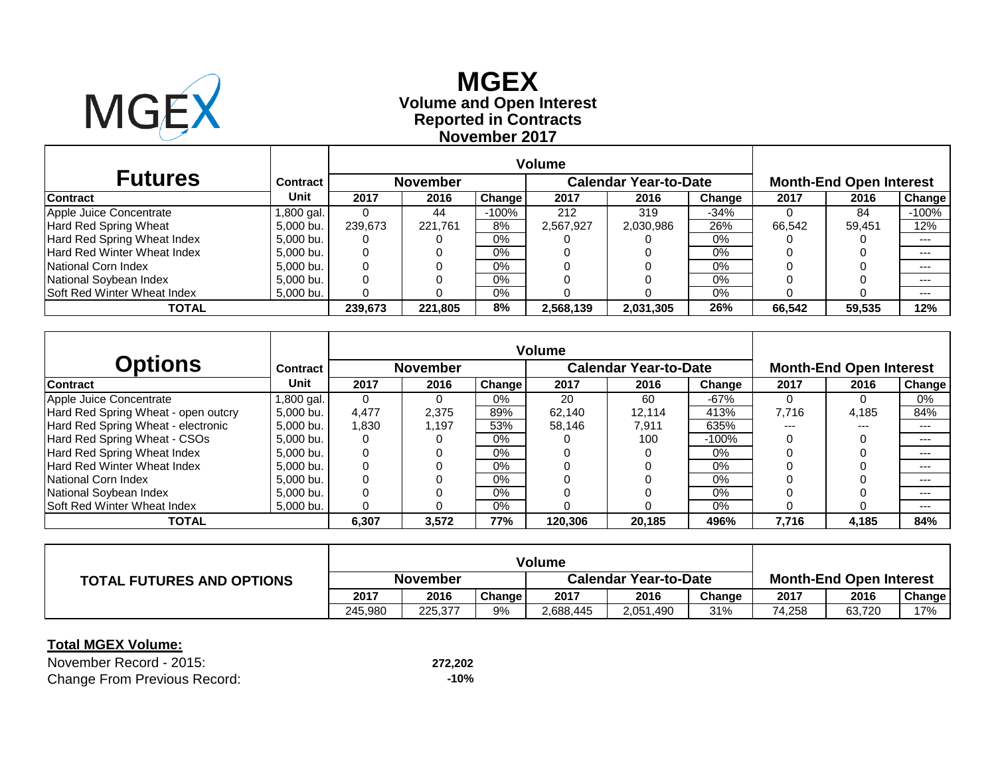

# **Reported in Contracts Volume and Open Interest MGEX November 2017**

| <b>Futures</b>                     | <b>Contract</b> |         | <b>November</b> |               |           | <b>Calendar Year-to-Date</b> |        |        | <b>Month-End Open Interest</b> |         |  |  |
|------------------------------------|-----------------|---------|-----------------|---------------|-----------|------------------------------|--------|--------|--------------------------------|---------|--|--|
| <b>Contract</b>                    | Unit            | 2017    | 2016            | <b>Change</b> | 2017      | 2016                         | Change | 2017   | 2016                           | Change  |  |  |
| Apple Juice Concentrate            | 1,800 gal.      | 0       | 44              | $-100%$       | 212       | 319                          | $-34%$ |        | 84                             | $-100%$ |  |  |
| Hard Red Spring Wheat              | 5,000 bu.       | 239.673 | 221.761         | 8%            | 2,567,927 | 2,030,986                    | 26%    | 66.542 | 59.451                         | 12%     |  |  |
| Hard Red Spring Wheat Index        | 5,000 bu.       | 0       |                 | $0\%$         |           |                              | 0%     |        |                                | $- - -$ |  |  |
| <b>Hard Red Winter Wheat Index</b> | 5,000 bu.       | 0       |                 | $0\%$         |           |                              | 0%     |        |                                | $--$    |  |  |
| National Corn Index                | 5,000 bu.       | 0       |                 | $0\%$         |           |                              | 0%     |        |                                | $- - -$ |  |  |
| National Soybean Index             | 5,000 bu.       | 0       |                 | 0%            |           |                              | 0%     |        |                                | $---$   |  |  |
| <b>Soft Red Winter Wheat Index</b> | 5,000 bu.       | 0       |                 | $0\%$         |           |                              | 0%     |        |                                | $---$   |  |  |
| TOTAL                              |                 | 239.673 | 221,805         | 8%            | 2,568,139 | 2,031,305                    | 26%    | 66.542 | 59,535                         | 12%     |  |  |

| <b>Options</b>                      | <b>Contract</b> |       | <b>November</b> |        |         | <b>Calendar Year-to-Date</b> |         |       | <b>Month-End Open Interest</b> |                     |
|-------------------------------------|-----------------|-------|-----------------|--------|---------|------------------------------|---------|-------|--------------------------------|---------------------|
| <b>Contract</b>                     | Unit            | 2017  | 2016            | Change | 2017    | 2016                         | Change  | 2017  | 2016                           | Change <sup>1</sup> |
| Apple Juice Concentrate             | l .800 gal. I   |       | $\Omega$        | $0\%$  | 20      | 60                           | $-67%$  |       |                                | 0%                  |
| Hard Red Spring Wheat - open outcry | 5.000 bu.       | 4.477 | 2,375           | 89%    | 62.140  | 12.114                       | 413%    | 7.716 | 4,185                          | 84%                 |
| Hard Red Spring Wheat - electronic  | 5.000 bu.       | 1,830 | 1,197           | 53%    | 58.146  | 7,911                        | 635%    | ---   | $---$                          | ---                 |
| Hard Red Spring Wheat - CSOs        | 5.000 bu.       | 0     |                 | $0\%$  |         | 100                          | $-100%$ |       |                                | $---$               |
| Hard Red Spring Wheat Index         | 5.000 bu.       |       |                 | $0\%$  |         |                              | $0\%$   |       |                                | $---$               |
| Hard Red Winter Wheat Index         | 5,000 bu.       |       |                 | $0\%$  |         |                              | $0\%$   |       |                                | $---$               |
| National Corn Index                 | 5.000 bu.       |       |                 | $0\%$  |         |                              | $0\%$   |       |                                | $---$               |
| National Soybean Index              | 5.000 bu.       |       |                 | $0\%$  |         |                              | $0\%$   |       |                                | $---$               |
| Soft Red Winter Wheat Index         | 5.000 bu.       |       |                 | 0%     |         |                              | 0%      |       |                                | ---                 |
| <b>TOTAL</b>                        |                 | 6,307 | 3,572           | 77%    | 120,306 | 20,185                       | 496%    | 7,716 | 4,185                          | 84%                 |

| <b>TOTAL FUTURES AND OPTIONS</b> | <b>November</b> |         |        | <b>Calendar Year-to-Date</b> |           |        | <b>Month-End Open Interest</b> |        |               |  |
|----------------------------------|-----------------|---------|--------|------------------------------|-----------|--------|--------------------------------|--------|---------------|--|
|                                  | 2017            | 2016    | Change | 2017                         | 2016      | Change | 2017                           | 2016   | <b>Change</b> |  |
|                                  | 245.980         | 225,377 | 9%     | 2,688,445                    | 2,051,490 | 31%    | 74,258                         | 63.720 | 17%           |  |

### **Total MGEX Volume:**

November Record - 2015: **272,202** Change From Previous Record: **-10%**